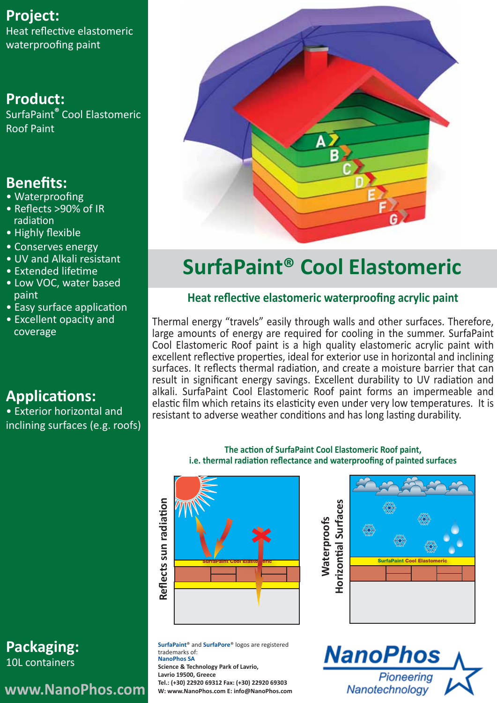### **Project:**

Heat reflective elastomeric waterproofing paint

### **Product:**

SurfaPaint**®** Cool Elastomeric Roof Paint

### **Benefits:**

- Waterproofing
- Reflects >90% of IR radiation
- Highly flexible
- Conserves energy
- UV and Alkali resistant
- Extended lifetime
- Low VOC, water based paint
- Easy surface application
- Excellent opacity and coverage

# **Applications:**

• Exterior horizontal and inclining surfaces (e.g. roofs)



# **SurfaPaint® Cool Elastomeric**

### **Heat reflective elastomeric waterproofing acrylic paint**

Τhermal energy "travels" easily through walls and other surfaces. Therefore, large amounts of energy are required for cooling in the summer. SurfaPaint Cool Elastomeric Roof paint is a high quality elastomeric acrylic paint with excellent reflective properties, ideal for exterior use in horizontal and inclining surfaces. It reflects thermal radiation, and create a moisture barrier that can result in significant energy savings. Excellent durability to UV radiation and alkali. SurfaPaint Cool Elastomeric Roof paint forms an impermeable and elastic film which retains its elasticity even under very low temperatures. It is resistant to adverse weather conditions and has long lasting durability.

#### **The action of SurfaPaint Cool Elastomeric Roof paint, i.e. thermal radiation reflectance and waterproofing of painted surfaces**

**Waterproofs** 

**Waterproofs** 



**SurfaPaint**® and **SurfaPore**® logos are registered trademarks of: **NanoPhos SA Science & Technology Park of Lavrio, Lavrio 19500, Greece Tel.: (+30) 22920 69312 Fax: (+30) 22920 69303 W: www.NanoPhos.com E: info@NanoPhos.com**





**Packaging:** 10L containers

## **www.NanoPhos.com**